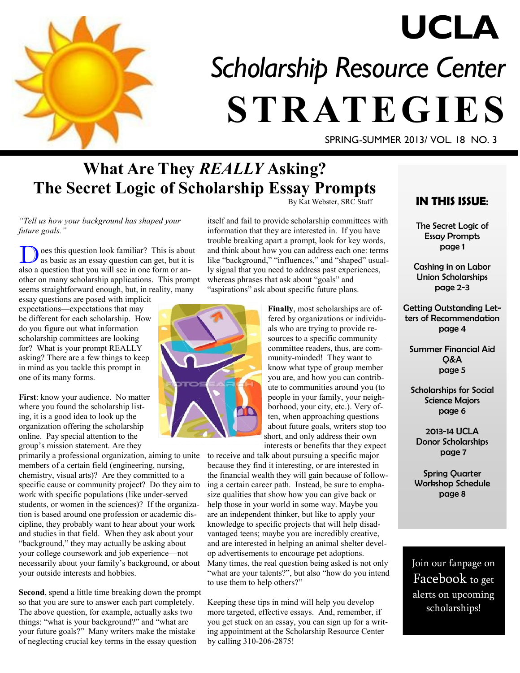

# *Scholarship Resource Center*  **STRATEGIES UCLA**

SPRING-SUMMER 2013/ VOL. 18 NO. 3

## **What Are They** *REALLY* **Asking? The Secret Logic of Scholarship Essay Prompts**

*"Tell us how your background has shaped your future goals."*

oes this question look familiar? This is about as basic as an essay question can get, but it is also a question that you will see in one form or another on many scholarship applications. This prompt seems straightforward enough, but, in reality, many

essay questions are posed with implicit expectations—expectations that may be different for each scholarship. How do you figure out what information scholarship committees are looking for? What is your prompt REALLY asking? There are a few things to keep in mind as you tackle this prompt in one of its many forms.

**First**: know your audience. No matter where you found the scholarship listing, it is a good idea to look up the organization offering the scholarship online. Pay special attention to the group's mission statement. Are they

primarily a professional organization, aiming to unite members of a certain field (engineering, nursing, chemistry, visual arts)? Are they committed to a specific cause or community project? Do they aim to work with specific populations (like under-served students, or women in the sciences)? If the organization is based around one profession or academic discipline, they probably want to hear about your work and studies in that field. When they ask about your "background," they may actually be asking about your college coursework and job experience—not necessarily about your family's background, or about your outside interests and hobbies.

**Second**, spend a little time breaking down the prompt so that you are sure to answer each part completely. The above question, for example, actually asks two things: "what is your background?" and "what are your future goals?" Many writers make the mistake of neglecting crucial key terms in the essay question

By Kat Webster, SRC Staff

itself and fail to provide scholarship committees with information that they are interested in. If you have trouble breaking apart a prompt, look for key words, and think about how you can address each one: terms like "background," "influences," and "shaped" usually signal that you need to address past experiences, whereas phrases that ask about "goals" and "aspirations" ask about specific future plans.



**Finally**, most scholarships are offered by organizations or individuals who are trying to provide resources to a specific community committee readers, thus, are community-minded! They want to know what type of group member you are, and how you can contribute to communities around you (to people in your family, your neighborhood, your city, etc.). Very often, when approaching questions about future goals, writers stop too short, and only address their own interests or benefits that they expect

to receive and talk about pursuing a specific major because they find it interesting, or are interested in the financial wealth they will gain because of following a certain career path. Instead, be sure to emphasize qualities that show how you can give back or help those in your world in some way. Maybe you are an independent thinker, but like to apply your knowledge to specific projects that will help disadvantaged teens; maybe you are incredibly creative, and are interested in helping an animal shelter develop advertisements to encourage pet adoptions. Many times, the real question being asked is not only "what are your talents?", but also "how do you intend to use them to help others?"

Keeping these tips in mind will help you develop more targeted, effective essays. And, remember, if you get stuck on an essay, you can sign up for a writing appointment at the Scholarship Resource Center by calling 310-206-2875!

## **IN THIS ISSUE**:

The Secret Logic of Essay Prompts page 1

Cashing in on Labor Union Scholarships page 2-3

Getting Outstanding Letters of Recommendation page 4

Summer Financial Aid Q&A page 5

Scholarships for Social Science Majors page 6

2013-14 UCLA Donor Scholarships page 7

Spring Quarter Workshop Schedule page 8

Join our fanpage on Facebook to get alerts on upcoming scholarships!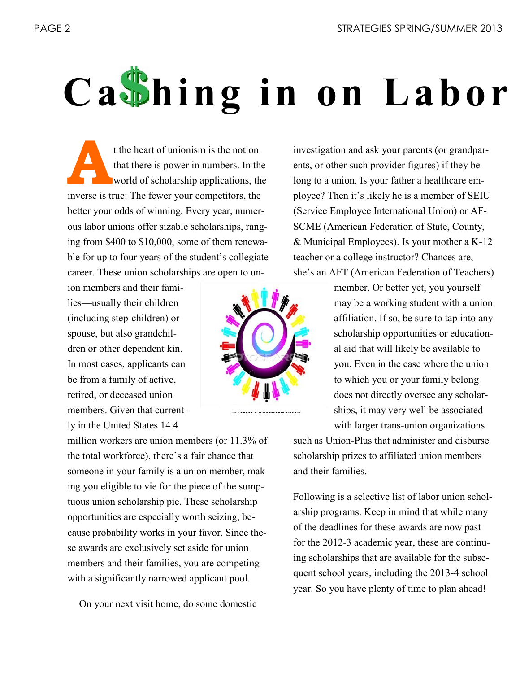# **Ca**<sup>*I*</sup>hingin on Labor

**A** t the heart of unionism is the notion that there is power in numbers. In the world of scholarship applications, the inverse is true: The fewer your competitors, the better your odds of winning. Every year, numerous labor unions offer sizable scholarships, ranging from \$400 to \$10,000, some of them renewable for up to four years of the student's collegiate career. These union scholarships are open to un-

ion members and their families—usually their children (including step-children) or spouse, but also grandchildren or other dependent kin. In most cases, applicants can be from a family of active, retired, or deceased union members. Given that currently in the United States 14.4

million workers are union members (or 11.3% of the total workforce), there's a fair chance that someone in your family is a union member, making you eligible to vie for the piece of the sumptuous union scholarship pie. These scholarship opportunities are especially worth seizing, because probability works in your favor. Since these awards are exclusively set aside for union members and their families, you are competing with a significantly narrowed applicant pool.

On your next visit home, do some domestic

investigation and ask your parents (or grandparents, or other such provider figures) if they belong to a union. Is your father a healthcare employee? Then it's likely he is a member of SEIU (Service Employee International Union) or AF-SCME (American Federation of State, County, & Municipal Employees). Is your mother a K-12 teacher or a college instructor? Chances are, she's an AFT (American Federation of Teachers)

> member. Or better yet, you yourself may be a working student with a union affiliation. If so, be sure to tap into any scholarship opportunities or educational aid that will likely be available to you. Even in the case where the union to which you or your family belong does not directly oversee any scholarships, it may very well be associated with larger trans-union organizations

such as Union-Plus that administer and disburse scholarship prizes to affiliated union members and their families.

Following is a selective list of labor union scholarship programs. Keep in mind that while many of the deadlines for these awards are now past for the 2012-3 academic year, these are continuing scholarships that are available for the subsequent school years, including the 2013-4 school year. So you have plenty of time to plan ahead!

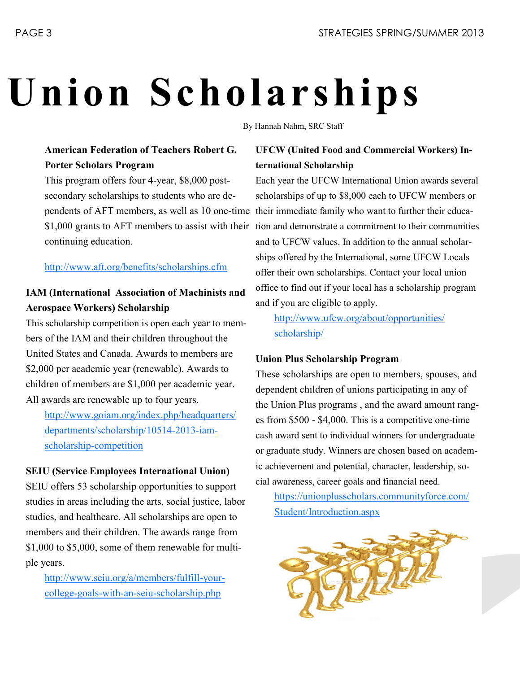# **Union Scholarships**

By Hannah Nahm, SRC Staff

## **American Federation of Teachers Robert G. Porter Scholars Program**

This program offers four 4-year, \$8,000 postsecondary scholarships to students who are dependents of AFT members, as well as 10 one-time \$1,000 grants to AFT members to assist with their continuing education.

## http://www.aft.org/benefits/scholarships.cfm

## **IAM (International Association of Machinists and Aerospace Workers) Scholarship**

This scholarship competition is open each year to members of the IAM and their children throughout the United States and Canada. Awards to members are \$2,000 per academic year (renewable). Awards to children of members are \$1,000 per academic year. All awards are renewable up to four years.

h[ttp://www.goiam.org/index.php/headquarters/](ttp://www.goiam.org/index.php/headquarters/departments/scholarship/10514-2013-iam-s) [departments/scholarship/10514](ttp://www.goiam.org/index.php/headquarters/departments/scholarship/10514-2013-iam-s)-2013-iam[sch](ttp://www.goiam.org/index.php/headquarters/departments/scholarship/10514-2013-iam-s)olarship-competition

## **SEIU (Service Employees International Union)**

SEIU offers 53 scholarship opportunities to support studies in areas including the arts, social justice, labor studies, and healthcare. All scholarships are open to members and their children. The awards range from \$1,000 to \$5,000, some of them renewable for multiple years.

[http://www.seiu.org/a/members/fulfill](http://www.seiu.org/a/members/fulfill-your-college-goals-with-an-seiu-scholarship.php)-yourcollege-goals-with-an-seiu-[scholarship.php](http://www.seiu.org/a/members/fulfill-your-college-goals-with-an-seiu-scholarship.php)

## **UFCW (United Food and Commercial Workers) International Scholarship**

Each year the UFCW International Union awards several scholarships of up to \$8,000 each to UFCW members or their immediate family who want to further their education and demonstrate a commitment to their communities and to UFCW values. In addition to the annual scholarships offered by the International, some UFCW Locals offer their own scholarships. Contact your local union office to find out if your local has a scholarship program and if you are eligible to apply.

[http://www.ufcw.org/about/opportunities/](http://www.ufcw.org/about/opportunities/scholarship/) [scholarship/](http://www.ufcw.org/about/opportunities/scholarship/)

## **Union Plus Scholarship Program**

These scholarships are open to members, spouses, and dependent children of unions participating in any of the Union Plus programs , and the award amount ranges from \$500 - \$4,000. This is a competitive one-time cash award sent to individual winners for undergraduate or graduate study. Winners are chosen based on academic achievement and potential, character, leadership, social awareness, career goals and financial need.

https://unionplusscholars.communityforce.com/ Student/Introduction.aspx

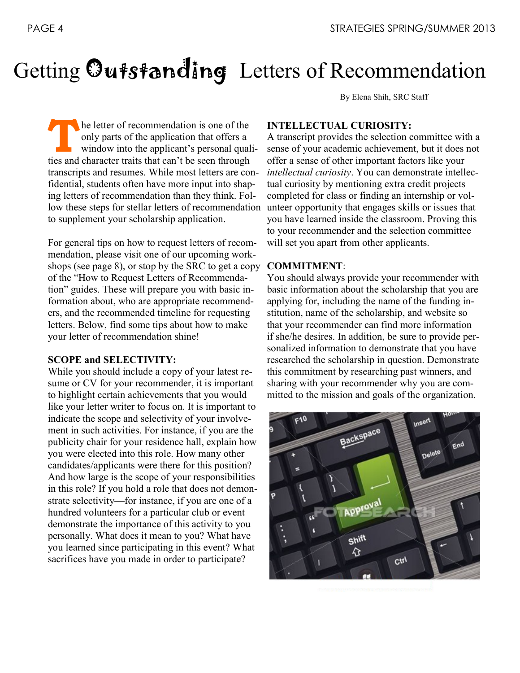# Getting Outstanding Letters of Recommendation

By Elena Shih, SRC Staff

The letter of recommendation is one of the only parts of the application that offers a window into the applicant's personal qual ties and character traits that can't be seen through he letter of recommendation is one of the only parts of the application that offers a window into the applicant's personal qualitranscripts and resumes. While most letters are confidential, students often have more input into shaping letters of recommendation than they think. Follow these steps for stellar letters of recommendation to supplement your scholarship application.

For general tips on how to request letters of recommendation, please visit one of our upcoming workshops (see page 8), or stop by the SRC to get a copy of the "How to Request Letters of Recommendation" guides. These will prepare you with basic information about, who are appropriate recommenders, and the recommended timeline for requesting letters. Below, find some tips about how to make your letter of recommendation shine!

#### **SCOPE and SELECTIVITY:**

While you should include a copy of your latest resume or CV for your recommender, it is important to highlight certain achievements that you would like your letter writer to focus on. It is important to indicate the scope and selectivity of your involvement in such activities. For instance, if you are the publicity chair for your residence hall, explain how you were elected into this role. How many other candidates/applicants were there for this position? And how large is the scope of your responsibilities in this role? If you hold a role that does not demonstrate selectivity—for instance, if you are one of a hundred volunteers for a particular club or event demonstrate the importance of this activity to you personally. What does it mean to you? What have you learned since participating in this event? What sacrifices have you made in order to participate?

#### **INTELLECTUAL CURIOSITY:**

A transcript provides the selection committee with a sense of your academic achievement, but it does not offer a sense of other important factors like your *intellectual curiosity*. You can demonstrate intellectual curiosity by mentioning extra credit projects completed for class or finding an internship or volunteer opportunity that engages skills or issues that you have learned inside the classroom. Proving this to your recommender and the selection committee will set you apart from other applicants.

#### **COMMITMENT**:

You should always provide your recommender with basic information about the scholarship that you are applying for, including the name of the funding institution, name of the scholarship, and website so that your recommender can find more information if she/he desires. In addition, be sure to provide personalized information to demonstrate that you have researched the scholarship in question. Demonstrate this commitment by researching past winners, and sharing with your recommender why you are committed to the mission and goals of the organization.

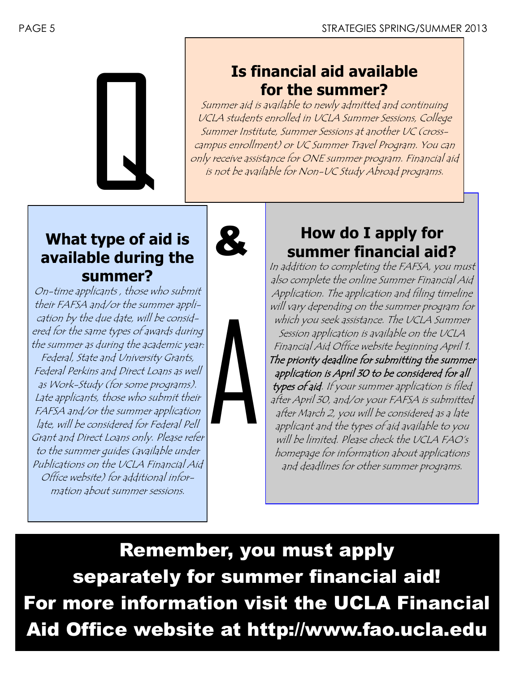

## **Is financial aid available for the summer?**

Summer aid is available to newly admitted and continuing UCLA students enrolled in UCLA Summer Sessions, College Summer Institute, Summer Sessions at another UC (crosscampus enrollment) or UC Summer Travel Program. You can only receive assistance for ONE summer program. Financial aid is not be available for Non-UC Study Abroad programs.

## **What type of aid is available during the summer?**

On-time applicants , those who submit their FAFSA and/or the summer application by the due date, will be considered for the same types of awards during the summer as during the academic year: Federal, State and University Grants, Federal Perkins and Direct Loans as well as Work-Study (for some programs). Late applicants, those who submit their FAFSA and/or the summer application late, will be considered for Federal Pell Grant and Direct Loans only. Please refer to the summer guides (available under Publications on the UCLA Financial Aid Office website) for additional information about summer sessions.





## **How do I apply for summer financial aid?**

In addition to completing the FAFSA, you must also complete the online Summer Financial Aid Application. The application and filing timeline will vary depending on the summer program for which you seek assistance. The UCLA Summer Session application is available on the UCLA Financial Aid Office website beginning April 1. The priority deadline for submitting the summer application is April 30 to be considered for all types of aid. If your summer application is filed after April 30, and/or your FAFSA is submitted after March 2, you will be considered as a late applicant and the types of aid available to you will be limited. Please check the UCLA FAO's homepage for information about applications and deadlines for other summer programs.

Remember, you must apply separately for summer financial aid! For more information visit the UCLA Financial Aid Office website at http://www.fao.ucla.edu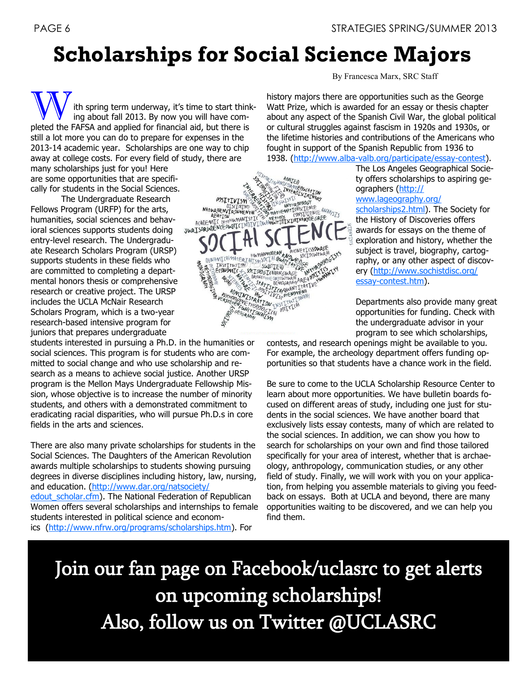## **Scholarships for Social Science Majors**

ith spring term underway, it's time to start thinking about fall 2013. By now you will have completed the FAFSA and applied for financial aid, but there is still a lot more you can do to prepare for expenses in the 2013-14 academic year. Scholarships are one way to chip away at college costs. For every field of study, there are many scholarships just for you! Here are some opportunities that are specifi-

The Undergraduate Research

Fellows Program (URFP) for the arts, humanities, social sciences and behavioral sciences supports students doing entry-level research. The Undergraduate Research Scholars Program (URSP) supports students in these fields who are committed to completing a departmental honors thesis or comprehensive research or creative project. The URSP includes the UCLA McNair Research Scholars Program, which is a two-year research-based intensive program for juniors that prepares undergraduate

students interested in pursuing a Ph.D. in the humanities or social sciences. This program is for students who are committed to social change and who use scholarship and research as a means to achieve social justice. Another URSP program is the Mellon Mays Undergraduate Fellowship Mission, whose objective is to increase the number of minority students, and others with a demonstrated commitment to eradicating racial disparities, who will pursue Ph.D.s in core fields in the arts and sciences.

There are also many private scholarships for students in the Social Sciences. The Daughters of the American Revolution awards multiple scholarships to students showing pursuing degrees in diverse disciplines including history, law, nursing, and education. [\(http://www.dar.org/natsociety/](http://www.dar.org/natsociety/edout_scholar.cfm) edout scholar.cfm). The National Federation of Republican Women offers several scholarships and internships to female students interested in political science and economics [\(http://www.nfrw.org/programs/scholarships.htm\)](http://www.nfrw.org/programs/scholarships.htm). For

cally for students in the Social Sciences.<br>
The Undergraduate Research<br>
Fellows Program (URFP) for the arts,<br>
humanities, social sciences and behav-<br>
ioral sciences supports students doing<br>
The MEGARING MANUSCRIPTION CONSU HUMANMODERN WOHONETICSSOURCE **PHONETICSOURCE INSTITUTION SUBTIEM AREA WARDON**<br>ECONOMIC & SOCIOL COMMUNICATION READDING **TNSTTTL+TON** 

By Francesca Marx, SRC Staff

history majors there are opportunities such as the George Watt Prize, which is awarded for an essay or thesis chapter about any aspect of the Spanish Civil War, the global political or cultural struggles against fascism in 1920s and 1930s, or the lifetime histories and contributions of the Americans who fought in support of the Spanish Republic from 1936 to 1938. ([http://www.alba-valb.org/participate/essay-contest\).](http://www.alba-valb.org/participate/essay-contest)

> The Los Angeles Geographical Society offers scholarships to aspiring geographers [\(http://](http://www.lageography.org/scholarships2.html)

[www.lageography.org/](http://www.lageography.org/scholarships2.html)

[scholarships2.html\)](http://www.lageography.org/scholarships2.html). The Society for the History of Discoveries offers awards for essays on the theme of exploration and history, whether the subject is travel, biography, cartography, or any other aspect of discovery ([http://www.sochistdisc.org/](http://www.sochistdisc.org/essay-contest.htm) [essay-contest.htm\)](http://www.sochistdisc.org/essay-contest.htm).

Departments also provide many great opportunities for funding. Check with the undergraduate advisor in your program to see which scholarships,

contests, and research openings might be available to you. For example, the archeology department offers funding opportunities so that students have a chance work in the field.

Be sure to come to the UCLA Scholarship Resource Center to learn about more opportunities. We have bulletin boards focused on different areas of study, including one just for students in the social sciences. We have another board that exclusively lists essay contests, many of which are related to the social sciences. In addition, we can show you how to search for scholarships on your own and find those tailored specifically for your area of interest, whether that is archaeology, anthropology, communication studies, or any other field of study. Finally, we will work with you on your application, from helping you assemble materials to giving you feedback on essays. Both at UCLA and beyond, there are many opportunities waiting to be discovered, and we can help you find them.

Join our fan page on Facebook/uclasrc to get alerts on upcoming scholarships! Also, follow us on Twitter @UCLASRC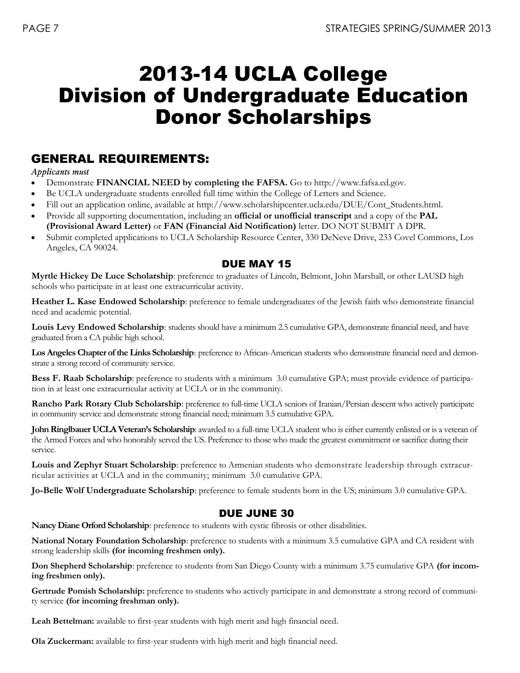## 2013-14 UCLA College Division of Undergraduate Education Donor Scholarships

## GENERAL REQUIREMENTS:

#### *Applicants must*

- Demonstrate **FINANCIAL NEED by completing the FAFSA.** Go to http://www.fafsa.ed.gov.
- Be UCLA undergraduate students enrolled full time within the College of Letters and Science.
- Fill out an application online, available at http://www.scholarshipcenter.ucla.edu/DUE/Cont\_Students.html.
- Provide all supporting documentation, including an **official or unofficial transcript** and a copy of the **PAL (Provisional Award Letter)** or **FAN (Financial Aid Notification)** letter. DO NOT SUBMIT A DPR.
- Submit completed applications to UCLA Scholarship Resource Center, 330 DeNeve Drive, 233 Covel Commons, Los Angeles, CA 90024.

## DUE MAY 15

**Myrtle Hickey De Luce Scholarship**: preference to graduates of Lincoln, Belmont, John Marshall, or other LAUSD high schools who participate in at least one extracurricular activity.

**Heather L. Kase Endowed Scholarship**: preference to female undergraduates of the Jewish faith who demonstrate financial need and academic potential.

**Louis Levy Endowed Scholarship**: students should have a minimum 2.5 cumulative GPA, demonstrate financial need, and have graduated from a CA public high school.

**Los Angeles Chapter of the Links Scholarship**: preference to African-American students who demonstrate financial need and demonstrate a strong record of community service.

**Bess F. Raab Scholarship**: preference to students with a minimum 3.0 cumulative GPA; must provide evidence of participation in at least one extracurricular activity at UCLA or in the community.

**Rancho Park Rotary Club Scholarship**: preference to full-time UCLA seniors of Iranian/Persian descent who actively participate in community service and demonstrate strong financial need; minimum 3.5 cumulative GPA.

**John Ringlbauer UCLA Veteran's Scholarship**: awarded to a full-time UCLA student who is either currently enlisted or is a veteran of the Armed Forces and who honorably served the US. Preference to those who made the greatest commitment or sacrifice during their service.

**Louis and Zephyr Stuart Scholarship**: preference to Armenian students who demonstrate leadership through extracurricular activities at UCLA and in the community; minimum 3.0 cumulative GPA.

**Jo-Belle Wolf Undergraduate Scholarship**: preference to female students born in the US; minimum 3.0 cumulative GPA.

## DUE JUNE 30

**Nancy Diane Orford Scholarship**: preference to students with cystic fibrosis or other disabilities.

**National Notary Foundation Scholarship**: preference to students with a minimum 3.5 cumulative GPA and CA resident with strong leadership skills **(for incoming freshmen only).**

**Don Shepherd Scholarship**: preference to students from San Diego County with a minimum 3.75 cumulative GPA **(for incoming freshmen only).**

**Gertrude Pomish Scholarship:** preference to students who actively participate in and demonstrate a strong record of community service **(for incoming freshman only).**

**Leah Bettelman:** available to first-year students with high merit and high financial need.

**Ola Zuckerman:** available to first-year students with high merit and high financial need.